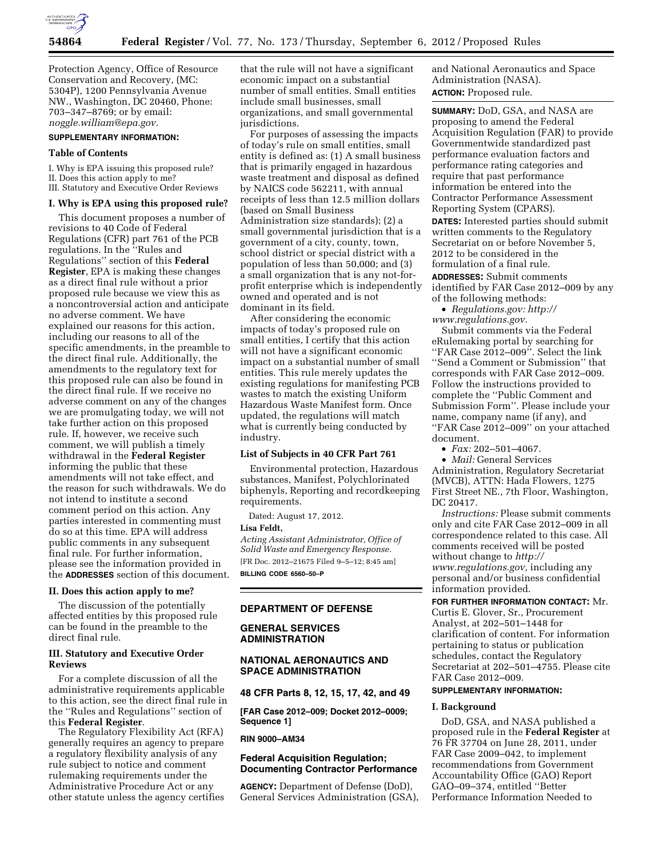

Protection Agency, Office of Resource Conservation and Recovery, (MC: 5304P), 1200 Pennsylvania Avenue NW., Washington, DC 20460, Phone: 703–347–8769; or by email: *[noggle.william@epa.gov](mailto:noggle.william@epa.gov)*.

# **SUPPLEMENTARY INFORMATION:**

### **Table of Contents**

I. Why is EPA issuing this proposed rule? II. Does this action apply to me? III. Statutory and Executive Order Reviews

### **I. Why is EPA using this proposed rule?**

This document proposes a number of revisions to 40 Code of Federal Regulations (CFR) part 761 of the PCB regulations. In the ''Rules and Regulations'' section of this **Federal Register**, EPA is making these changes as a direct final rule without a prior proposed rule because we view this as a noncontroversial action and anticipate no adverse comment. We have explained our reasons for this action, including our reasons to all of the specific amendments, in the preamble to the direct final rule. Additionally, the amendments to the regulatory text for this proposed rule can also be found in the direct final rule. If we receive no adverse comment on any of the changes we are promulgating today, we will not take further action on this proposed rule. If, however, we receive such comment, we will publish a timely withdrawal in the **Federal Register**  informing the public that these amendments will not take effect, and the reason for such withdrawals. We do not intend to institute a second comment period on this action. Any parties interested in commenting must do so at this time. EPA will address public comments in any subsequent final rule. For further information, please see the information provided in the **ADDRESSES** section of this document.

#### **II. Does this action apply to me?**

The discussion of the potentially affected entities by this proposed rule can be found in the preamble to the direct final rule.

#### **III. Statutory and Executive Order Reviews**

For a complete discussion of all the administrative requirements applicable to this action, see the direct final rule in the ''Rules and Regulations'' section of this **Federal Register**.

The Regulatory Flexibility Act (RFA) generally requires an agency to prepare a regulatory flexibility analysis of any rule subject to notice and comment rulemaking requirements under the Administrative Procedure Act or any other statute unless the agency certifies that the rule will not have a significant economic impact on a substantial number of small entities. Small entities include small businesses, small organizations, and small governmental jurisdictions.

For purposes of assessing the impacts of today's rule on small entities, small entity is defined as: (1) A small business that is primarily engaged in hazardous waste treatment and disposal as defined by NAICS code 562211, with annual receipts of less than 12.5 million dollars (based on Small Business Administration size standards); (2) a small governmental jurisdiction that is a government of a city, county, town, school district or special district with a population of less than 50,000; and (3) a small organization that is any not-forprofit enterprise which is independently owned and operated and is not dominant in its field.

After considering the economic impacts of today's proposed rule on small entities, I certify that this action will not have a significant economic impact on a substantial number of small entities. This rule merely updates the existing regulations for manifesting PCB wastes to match the existing Uniform Hazardous Waste Manifest form. Once updated, the regulations will match what is currently being conducted by industry.

### **List of Subjects in 40 CFR Part 761**

Environmental protection, Hazardous substances, Manifest, Polychlorinated biphenyls, Reporting and recordkeeping requirements.

Dated: August 17, 2012.

#### **Lisa Feldt,**

*Acting Assistant Administrator, Office of Solid Waste and Emergency Response.*  [FR Doc. 2012–21675 Filed 9–5–12; 8:45 am] **BILLING CODE 6560–50–P** 

### **DEPARTMENT OF DEFENSE**

### **GENERAL SERVICES ADMINISTRATION**

# **NATIONAL AERONAUTICS AND SPACE ADMINISTRATION**

**48 CFR Parts 8, 12, 15, 17, 42, and 49** 

**[FAR Case 2012–009; Docket 2012–0009; Sequence 1]** 

### **RIN 9000–AM34**

### **Federal Acquisition Regulation; Documenting Contractor Performance**

**AGENCY:** Department of Defense (DoD), General Services Administration (GSA), and National Aeronautics and Space Administration (NASA). **ACTION:** Proposed rule.

**SUMMARY:** DoD, GSA, and NASA are proposing to amend the Federal Acquisition Regulation (FAR) to provide Governmentwide standardized past performance evaluation factors and performance rating categories and require that past performance information be entered into the Contractor Performance Assessment Reporting System (CPARS). **DATES:** Interested parties should submit written comments to the Regulatory Secretariat on or before November 5, 2012 to be considered in the formulation of a final rule.

**ADDRESSES:** Submit comments identified by FAR Case 2012–009 by any of the following methods:

• *Regulations.gov: [http://](http://www.regulations.gov)  [www.regulations.gov.](http://www.regulations.gov)* 

Submit comments via the Federal eRulemaking portal by searching for ''FAR Case 2012–009''. Select the link ''Send a Comment or Submission'' that corresponds with FAR Case 2012–009. Follow the instructions provided to complete the ''Public Comment and Submission Form''. Please include your name, company name (if any), and ''FAR Case 2012–009'' on your attached document.

• *Fax:* 202–501–4067.

• *Mail:* General Services Administration, Regulatory Secretariat (MVCB), ATTN: Hada Flowers, 1275 First Street NE., 7th Floor, Washington, DC 20417.

*Instructions:* Please submit comments only and cite FAR Case 2012–009 in all correspondence related to this case. All comments received will be posted without change to *[http://](http://www.regulations.gov) [www.regulations.gov,](http://www.regulations.gov)* including any personal and/or business confidential information provided.

# **FOR FURTHER INFORMATION CONTACT:** Mr.

Curtis E. Glover, Sr., Procurement Analyst, at 202–501–1448 for clarification of content. For information pertaining to status or publication schedules, contact the Regulatory Secretariat at 202–501–4755. Please cite FAR Case 2012–009.

# **SUPPLEMENTARY INFORMATION:**

### **I. Background**

DoD, GSA, and NASA published a proposed rule in the **Federal Register** at 76 FR 37704 on June 28, 2011, under FAR Case 2009–042, to implement recommendations from Government Accountability Office (GAO) Report GAO–09–374, entitled ''Better Performance Information Needed to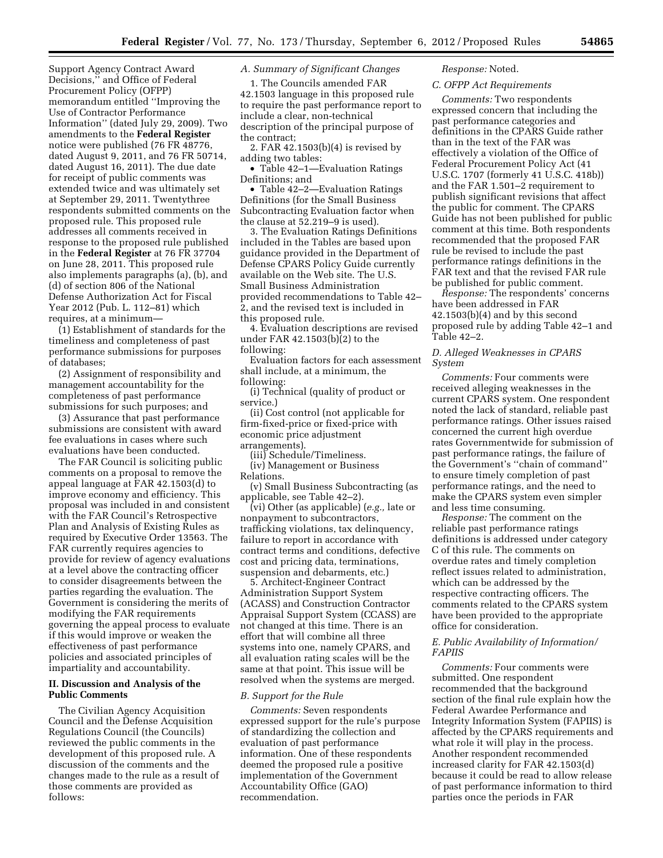Support Agency Contract Award Decisions,'' and Office of Federal Procurement Policy (OFPP) memorandum entitled ''Improving the Use of Contractor Performance Information'' (dated July 29, 2009). Two amendments to the **Federal Register**  notice were published (76 FR 48776, dated August 9, 2011, and 76 FR 50714, dated August 16, 2011). The due date for receipt of public comments was extended twice and was ultimately set at September 29, 2011. Twentythree respondents submitted comments on the proposed rule. This proposed rule addresses all comments received in response to the proposed rule published in the **Federal Register** at 76 FR 37704 on June 28, 2011. This proposed rule also implements paragraphs (a), (b), and (d) of section 806 of the National Defense Authorization Act for Fiscal Year 2012 (Pub. L. 112–81) which requires, at a minimum—

(1) Establishment of standards for the timeliness and completeness of past performance submissions for purposes of databases;

(2) Assignment of responsibility and management accountability for the completeness of past performance submissions for such purposes; and

(3) Assurance that past performance submissions are consistent with award fee evaluations in cases where such evaluations have been conducted.

The FAR Council is soliciting public comments on a proposal to remove the appeal language at FAR 42.1503(d) to improve economy and efficiency. This proposal was included in and consistent with the FAR Council's Retrospective Plan and Analysis of Existing Rules as required by Executive Order 13563. The FAR currently requires agencies to provide for review of agency evaluations at a level above the contracting officer to consider disagreements between the parties regarding the evaluation. The Government is considering the merits of modifying the FAR requirements governing the appeal process to evaluate if this would improve or weaken the effectiveness of past performance policies and associated principles of impartiality and accountability.

### **II. Discussion and Analysis of the Public Comments**

The Civilian Agency Acquisition Council and the Defense Acquisition Regulations Council (the Councils) reviewed the public comments in the development of this proposed rule. A discussion of the comments and the changes made to the rule as a result of those comments are provided as follows:

### *A. Summary of Significant Changes*

1. The Councils amended FAR 42.1503 language in this proposed rule to require the past performance report to include a clear, non-technical description of the principal purpose of the contract;

2. FAR 42.1503(b)(4) is revised by adding two tables:

• Table 42–1—Evaluation Ratings Definitions; and

• Table 42–2—Evaluation Ratings Definitions (for the Small Business Subcontracting Evaluation factor when the clause at 52.219–9 is used).

3. The Evaluation Ratings Definitions included in the Tables are based upon guidance provided in the Department of Defense CPARS Policy Guide currently available on the Web site. The U.S. Small Business Administration provided recommendations to Table 42– 2, and the revised text is included in this proposed rule.

4. Evaluation descriptions are revised under FAR 42.1503(b)(2) to the following:

Evaluation factors for each assessment shall include, at a minimum, the following:

(i) Technical (quality of product or service.)

(ii) Cost control (not applicable for firm-fixed-price or fixed-price with economic price adjustment arrangements).

(iii) Schedule/Timeliness. (iv) Management or Business Relations.

(v) Small Business Subcontracting (as applicable, see Table 42–2).

(vi) Other (as applicable) (*e.g.,* late or nonpayment to subcontractors, trafficking violations, tax delinquency, failure to report in accordance with contract terms and conditions, defective cost and pricing data, terminations, suspension and debarments, etc.)

5. Architect-Engineer Contract Administration Support System (ACASS) and Construction Contractor Appraisal Support System (CCASS) are not changed at this time. There is an effort that will combine all three systems into one, namely CPARS, and all evaluation rating scales will be the same at that point. This issue will be resolved when the systems are merged.

#### *B. Support for the Rule*

*Comments:* Seven respondents expressed support for the rule's purpose of standardizing the collection and evaluation of past performance information. One of these respondents deemed the proposed rule a positive implementation of the Government Accountability Office (GAO) recommendation.

# *Response:* Noted.

# *C. OFPP Act Requirements*

*Comments:* Two respondents expressed concern that including the past performance categories and definitions in the CPARS Guide rather than in the text of the FAR was effectively a violation of the Office of Federal Procurement Policy Act (41 U.S.C. 1707 (formerly 41 U.S.C. 418b)) and the FAR 1.501–2 requirement to publish significant revisions that affect the public for comment. The CPARS Guide has not been published for public comment at this time. Both respondents recommended that the proposed FAR rule be revised to include the past performance ratings definitions in the FAR text and that the revised FAR rule be published for public comment.

*Response:* The respondents' concerns have been addressed in FAR 42.1503(b)(4) and by this second proposed rule by adding Table 42–1 and Table 42–2.

### *D. Alleged Weaknesses in CPARS System*

*Comments:* Four comments were received alleging weaknesses in the current CPARS system. One respondent noted the lack of standard, reliable past performance ratings. Other issues raised concerned the current high overdue rates Governmentwide for submission of past performance ratings, the failure of the Government's ''chain of command'' to ensure timely completion of past performance ratings, and the need to make the CPARS system even simpler and less time consuming.

*Response:* The comment on the reliable past performance ratings definitions is addressed under category C of this rule. The comments on overdue rates and timely completion reflect issues related to administration, which can be addressed by the respective contracting officers. The comments related to the CPARS system have been provided to the appropriate office for consideration.

### *E. Public Availability of Information/ FAPIIS*

*Comments:* Four comments were submitted. One respondent recommended that the background section of the final rule explain how the Federal Awardee Performance and Integrity Information System (FAPIIS) is affected by the CPARS requirements and what role it will play in the process. Another respondent recommended increased clarity for FAR 42.1503(d) because it could be read to allow release of past performance information to third parties once the periods in FAR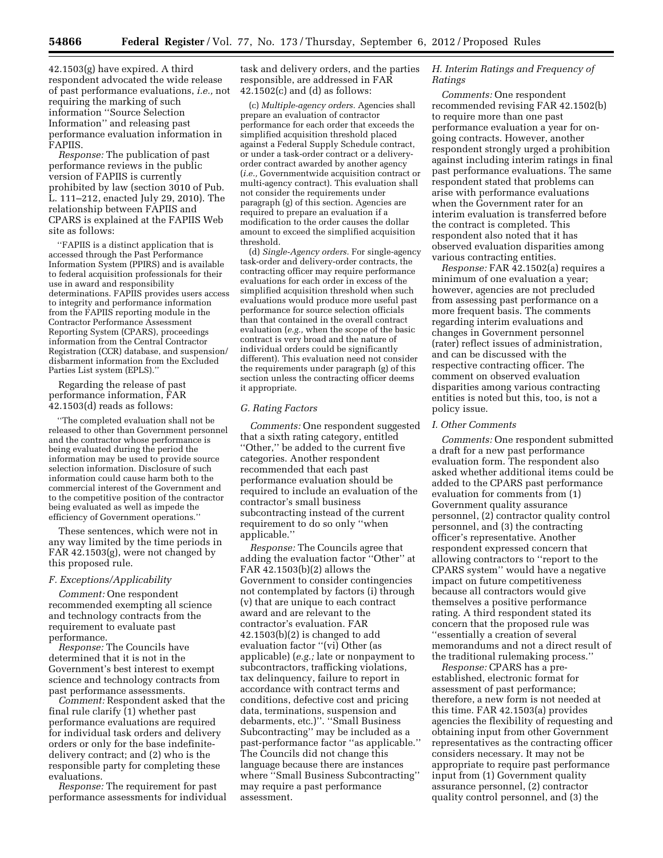42.1503(g) have expired. A third respondent advocated the wide release of past performance evaluations, *i.e.,* not requiring the marking of such information ''Source Selection Information'' and releasing past performance evaluation information in FAPIIS.

*Response:* The publication of past performance reviews in the public version of FAPIIS is currently prohibited by law (section 3010 of Pub. L. 111–212, enacted July 29, 2010). The relationship between FAPIIS and CPARS is explained at the FAPIIS Web site as follows:

''FAPIIS is a distinct application that is accessed through the Past Performance Information System (PPIRS) and is available to federal acquisition professionals for their use in award and responsibility determinations. FAPIIS provides users access to integrity and performance information from the FAPIIS reporting module in the Contractor Performance Assessment Reporting System (CPARS), proceedings information from the Central Contractor Registration (CCR) database, and suspension/ disbarment information from the Excluded Parties List system (EPLS).

Regarding the release of past performance information, FAR 42.1503(d) reads as follows:

''The completed evaluation shall not be released to other than Government personnel and the contractor whose performance is being evaluated during the period the information may be used to provide source selection information. Disclosure of such information could cause harm both to the commercial interest of the Government and to the competitive position of the contractor being evaluated as well as impede the efficiency of Government operations.''

These sentences, which were not in any way limited by the time periods in FAR 42.1503(g), were not changed by this proposed rule.

#### *F. Exceptions/Applicability*

*Comment:* One respondent recommended exempting all science and technology contracts from the requirement to evaluate past performance.

*Response:* The Councils have determined that it is not in the Government's best interest to exempt science and technology contracts from past performance assessments.

*Comment:* Respondent asked that the final rule clarify (1) whether past performance evaluations are required for individual task orders and delivery orders or only for the base indefinitedelivery contract; and (2) who is the responsible party for completing these evaluations.

*Response:* The requirement for past performance assessments for individual

task and delivery orders, and the parties responsible, are addressed in FAR  $42.1502(c)$  and (d) as follows:

(c) *Multiple-agency orders.* Agencies shall prepare an evaluation of contractor performance for each order that exceeds the simplified acquisition threshold placed against a Federal Supply Schedule contract, or under a task-order contract or a deliveryorder contract awarded by another agency (*i.e.,* Governmentwide acquisition contract or multi-agency contract). This evaluation shall not consider the requirements under paragraph (g) of this section. Agencies are required to prepare an evaluation if a modification to the order causes the dollar amount to exceed the simplified acquisition threshold.

(d) *Single-Agency orders.* For single-agency task-order and delivery-order contracts, the contracting officer may require performance evaluations for each order in excess of the simplified acquisition threshold when such evaluations would produce more useful past performance for source selection officials than that contained in the overall contract evaluation (*e.g.,* when the scope of the basic contract is very broad and the nature of individual orders could be significantly different). This evaluation need not consider the requirements under paragraph (g) of this section unless the contracting officer deems it appropriate.

### *G. Rating Factors*

*Comments:* One respondent suggested that a sixth rating category, entitled ''Other,'' be added to the current five categories. Another respondent recommended that each past performance evaluation should be required to include an evaluation of the contractor's small business subcontracting instead of the current requirement to do so only ''when applicable.''

*Response:* The Councils agree that adding the evaluation factor ''Other'' at FAR 42.1503(b)(2) allows the Government to consider contingencies not contemplated by factors (i) through (v) that are unique to each contract award and are relevant to the contractor's evaluation. FAR 42.1503(b)(2) is changed to add evaluation factor ''(vi) Other (as applicable) (*e.g.;* late or nonpayment to subcontractors, trafficking violations, tax delinquency, failure to report in accordance with contract terms and conditions, defective cost and pricing data, terminations, suspension and debarments, etc.)''. ''Small Business Subcontracting'' may be included as a past-performance factor ''as applicable.'' The Councils did not change this language because there are instances where ''Small Business Subcontracting'' may require a past performance assessment.

## *H. Interim Ratings and Frequency of Ratings*

*Comments:* One respondent recommended revising FAR 42.1502(b) to require more than one past performance evaluation a year for ongoing contracts. However, another respondent strongly urged a prohibition against including interim ratings in final past performance evaluations. The same respondent stated that problems can arise with performance evaluations when the Government rater for an interim evaluation is transferred before the contract is completed. This respondent also noted that it has observed evaluation disparities among various contracting entities.

*Response:* FAR 42.1502(a) requires a minimum of one evaluation a year; however, agencies are not precluded from assessing past performance on a more frequent basis. The comments regarding interim evaluations and changes in Government personnel (rater) reflect issues of administration, and can be discussed with the respective contracting officer. The comment on observed evaluation disparities among various contracting entities is noted but this, too, is not a policy issue.

#### *I. Other Comments*

*Comments:* One respondent submitted a draft for a new past performance evaluation form. The respondent also asked whether additional items could be added to the CPARS past performance evaluation for comments from (1) Government quality assurance personnel, (2) contractor quality control personnel, and (3) the contracting officer's representative. Another respondent expressed concern that allowing contractors to ''report to the CPARS system'' would have a negative impact on future competitiveness because all contractors would give themselves a positive performance rating. A third respondent stated its concern that the proposed rule was ''essentially a creation of several memorandums and not a direct result of the traditional rulemaking process.''

*Response:* CPARS has a preestablished, electronic format for assessment of past performance; therefore, a new form is not needed at this time. FAR 42.1503(a) provides agencies the flexibility of requesting and obtaining input from other Government representatives as the contracting officer considers necessary. It may not be appropriate to require past performance input from (1) Government quality assurance personnel, (2) contractor quality control personnel, and (3) the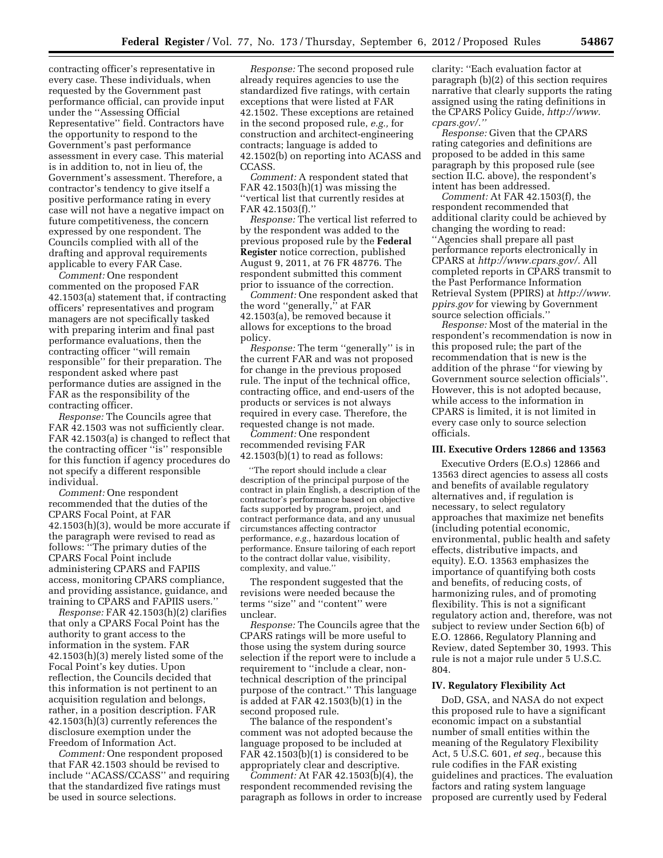contracting officer's representative in every case. These individuals, when requested by the Government past performance official, can provide input under the ''Assessing Official Representative'' field. Contractors have the opportunity to respond to the Government's past performance assessment in every case. This material is in addition to, not in lieu of, the Government's assessment. Therefore, a contractor's tendency to give itself a positive performance rating in every case will not have a negative impact on future competitiveness, the concern expressed by one respondent. The Councils complied with all of the drafting and approval requirements applicable to every FAR Case.

*Comment:* One respondent commented on the proposed FAR 42.1503(a) statement that, if contracting officers' representatives and program managers are not specifically tasked with preparing interim and final past performance evaluations, then the contracting officer ''will remain responsible'' for their preparation. The respondent asked where past performance duties are assigned in the FAR as the responsibility of the contracting officer.

*Response:* The Councils agree that FAR 42.1503 was not sufficiently clear. FAR 42.1503(a) is changed to reflect that the contracting officer ''is'' responsible for this function if agency procedures do not specify a different responsible individual.

*Comment:* One respondent recommended that the duties of the CPARS Focal Point, at FAR 42.1503(h)(3), would be more accurate if the paragraph were revised to read as follows: ''The primary duties of the CPARS Focal Point include administering CPARS and FAPIIS access, monitoring CPARS compliance, and providing assistance, guidance, and training to CPARS and FAPIIS users.''

*Response:* FAR 42.1503(h)(2) clarifies that only a CPARS Focal Point has the authority to grant access to the information in the system. FAR 42.1503(h)(3) merely listed some of the Focal Point's key duties. Upon reflection, the Councils decided that this information is not pertinent to an acquisition regulation and belongs, rather, in a position description. FAR  $42.1503(h)(\overline{3})$  currently references the disclosure exemption under the Freedom of Information Act.

*Comment:* One respondent proposed that FAR 42.1503 should be revised to include ''ACASS/CCASS'' and requiring that the standardized five ratings must be used in source selections.

*Response:* The second proposed rule already requires agencies to use the standardized five ratings, with certain exceptions that were listed at FAR 42.1502. These exceptions are retained in the second proposed rule, *e.g.,* for construction and architect-engineering contracts; language is added to 42.1502(b) on reporting into ACASS and CCASS.

*Comment:* A respondent stated that FAR 42.1503(h)(1) was missing the ''vertical list that currently resides at FAR 42.1503(f).''

*Response:* The vertical list referred to by the respondent was added to the previous proposed rule by the **Federal Register** notice correction, published August 9, 2011, at 76 FR 48776. The respondent submitted this comment prior to issuance of the correction.

*Comment:* One respondent asked that the word ''generally,'' at FAR 42.1503(a), be removed because it allows for exceptions to the broad policy.

*Response:* The term ''generally'' is in the current FAR and was not proposed for change in the previous proposed rule. The input of the technical office, contracting office, and end-users of the products or services is not always required in every case. Therefore, the requested change is not made.

*Comment:* One respondent recommended revising FAR  $42.1503(b)(1)$  to read as follows:

''The report should include a clear description of the principal purpose of the contract in plain English, a description of the contractor's performance based on objective facts supported by program, project, and contract performance data, and any unusual circumstances affecting contractor performance, *e.g.,* hazardous location of performance. Ensure tailoring of each report to the contract dollar value, visibility, complexity, and value.''

The respondent suggested that the revisions were needed because the terms ''size'' and ''content'' were unclear.

*Response:* The Councils agree that the CPARS ratings will be more useful to those using the system during source selection if the report were to include a requirement to ''include a clear, nontechnical description of the principal purpose of the contract.'' This language is added at FAR 42.1503(b)(1) in the second proposed rule.

The balance of the respondent's comment was not adopted because the language proposed to be included at FAR 42.1503(b)(1) is considered to be appropriately clear and descriptive.

*Comment:* At FAR 42.1503(b)(4), the respondent recommended revising the paragraph as follows in order to increase clarity: ''Each evaluation factor at paragraph (b)(2) of this section requires narrative that clearly supports the rating assigned using the rating definitions in the CPARS Policy Guide, *[http://www.](http://www.cpars.gov/) [cpars.gov/.''](http://www.cpars.gov/)* 

*Response:* Given that the CPARS rating categories and definitions are proposed to be added in this same paragraph by this proposed rule (see section II.C. above), the respondent's intent has been addressed.

*Comment:* At FAR 42.1503(f), the respondent recommended that additional clarity could be achieved by changing the wording to read: ''Agencies shall prepare all past performance reports electronically in CPARS at *[http://www.cpars.gov/.](http://www.cpars.gov/)* All completed reports in CPARS transmit to the Past Performance Information Retrieval System (PPIRS) at *[http://www.](http://www.ppirs.gov) [ppirs.gov](http://www.ppirs.gov)* for viewing by Government source selection officials.''

*Response:* Most of the material in the respondent's recommendation is now in this proposed rule; the part of the recommendation that is new is the addition of the phrase ''for viewing by Government source selection officials''. However, this is not adopted because, while access to the information in CPARS is limited, it is not limited in every case only to source selection officials.

#### **III. Executive Orders 12866 and 13563**

Executive Orders (E.O.s) 12866 and 13563 direct agencies to assess all costs and benefits of available regulatory alternatives and, if regulation is necessary, to select regulatory approaches that maximize net benefits (including potential economic, environmental, public health and safety effects, distributive impacts, and equity). E.O. 13563 emphasizes the importance of quantifying both costs and benefits, of reducing costs, of harmonizing rules, and of promoting flexibility. This is not a significant regulatory action and, therefore, was not subject to review under Section 6(b) of E.O. 12866, Regulatory Planning and Review, dated September 30, 1993. This rule is not a major rule under 5 U.S.C. 804.

### **IV. Regulatory Flexibility Act**

DoD, GSA, and NASA do not expect this proposed rule to have a significant economic impact on a substantial number of small entities within the meaning of the Regulatory Flexibility Act, 5 U.S.C. 601, *et seq.,* because this rule codifies in the FAR existing guidelines and practices. The evaluation factors and rating system language proposed are currently used by Federal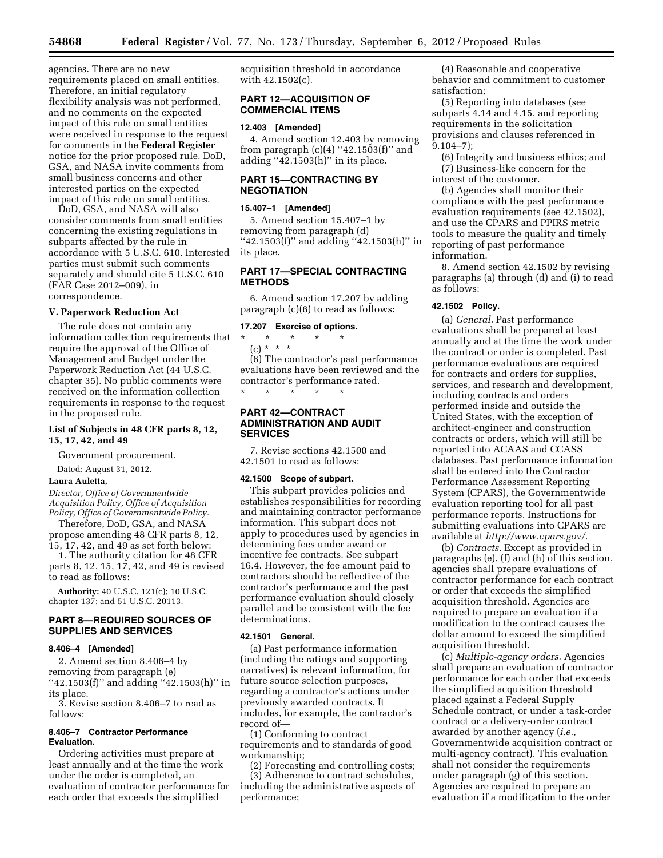agencies. There are no new requirements placed on small entities. Therefore, an initial regulatory flexibility analysis was not performed, and no comments on the expected impact of this rule on small entities were received in response to the request for comments in the **Federal Register**  notice for the prior proposed rule. DoD, GSA, and NASA invite comments from small business concerns and other interested parties on the expected impact of this rule on small entities.

DoD, GSA, and NASA will also consider comments from small entities concerning the existing regulations in subparts affected by the rule in accordance with 5 U.S.C. 610. Interested parties must submit such comments separately and should cite 5 U.S.C. 610 (FAR Case 2012–009), in correspondence.

#### **V. Paperwork Reduction Act**

The rule does not contain any information collection requirements that require the approval of the Office of Management and Budget under the Paperwork Reduction Act (44 U.S.C. chapter 35). No public comments were received on the information collection requirements in response to the request in the proposed rule.

#### **List of Subjects in 48 CFR parts 8, 12, 15, 17, 42, and 49**

Government procurement.

Dated: August 31, 2012.

### **Laura Auletta,**

*Director, Office of Governmentwide Acquisition Policy, Office of Acquisition Policy, Office of Governmentwide Policy.* 

Therefore, DoD, GSA, and NASA propose amending 48 CFR parts 8, 12, 15, 17, 42, and 49 as set forth below:

1. The authority citation for 48 CFR parts 8, 12, 15, 17, 42, and 49 is revised to read as follows:

**Authority:** 40 U.S.C. 121(c); 10 U.S.C. chapter 137; and 51 U.S.C. 20113.

# **PART 8—REQUIRED SOURCES OF SUPPLIES AND SERVICES**

#### **8.406–4 [Amended]**

2. Amend section 8.406–4 by removing from paragraph (e) ''42.1503(f)'' and adding ''42.1503(h)'' in its place.

3. Revise section 8.406–7 to read as follows:

### **8.406–7 Contractor Performance Evaluation.**

Ordering activities must prepare at least annually and at the time the work under the order is completed, an evaluation of contractor performance for each order that exceeds the simplified

acquisition threshold in accordance with 42.1502(c).

### **PART 12—ACQUISITION OF COMMERCIAL ITEMS**

#### **12.403 [Amended]**

4. Amend section 12.403 by removing from paragraph  $(c)(4)$  "42.1503 $(f)$ " and adding ''42.1503(h)'' in its place.

# **PART 15—CONTRACTING BY NEGOTIATION**

### **15.407–1 [Amended]**

5. Amend section 15.407–1 by removing from paragraph (d) ''42.1503(f)'' and adding ''42.1503(h)'' in its place.

### **PART 17—SPECIAL CONTRACTING METHODS**

6. Amend section 17.207 by adding paragraph (c)(6) to read as follows:

### **17.207 Exercise of options.**

\* \* \* \* \* (c) \* \* \*

(6) The contractor's past performance evaluations have been reviewed and the contractor's performance rated. \* \* \* \* \*

### **PART 42—CONTRACT ADMINISTRATION AND AUDIT SERVICES**

7. Revise sections 42.1500 and 42.1501 to read as follows:

#### **42.1500 Scope of subpart.**

This subpart provides policies and establishes responsibilities for recording and maintaining contractor performance information. This subpart does not apply to procedures used by agencies in determining fees under award or incentive fee contracts. See subpart 16.4. However, the fee amount paid to contractors should be reflective of the contractor's performance and the past performance evaluation should closely parallel and be consistent with the fee determinations.

#### **42.1501 General.**

(a) Past performance information (including the ratings and supporting narratives) is relevant information, for future source selection purposes, regarding a contractor's actions under previously awarded contracts. It includes, for example, the contractor's record of—

(1) Conforming to contract requirements and to standards of good workmanship;

(2) Forecasting and controlling costs; (3) Adherence to contract schedules, including the administrative aspects of performance;

(4) Reasonable and cooperative behavior and commitment to customer satisfaction;

(5) Reporting into databases (see subparts 4.14 and 4.15, and reporting requirements in the solicitation provisions and clauses referenced in 9.104–7);

(6) Integrity and business ethics; and (7) Business-like concern for the interest of the customer.

(b) Agencies shall monitor their compliance with the past performance evaluation requirements (see 42.1502), and use the CPARS and PPIRS metric tools to measure the quality and timely reporting of past performance information.

8. Amend section 42.1502 by revising paragraphs (a) through (d) and (i) to read as follows:

#### **42.1502 Policy.**

(a) *General.* Past performance evaluations shall be prepared at least annually and at the time the work under the contract or order is completed. Past performance evaluations are required for contracts and orders for supplies, services, and research and development, including contracts and orders performed inside and outside the United States, with the exception of architect-engineer and construction contracts or orders, which will still be reported into ACAAS and CCASS databases. Past performance information shall be entered into the Contractor Performance Assessment Reporting System (CPARS), the Governmentwide evaluation reporting tool for all past performance reports. Instructions for submitting evaluations into CPARS are available at *<http://www.cpars.gov/>*.

(b) *Contracts.* Except as provided in paragraphs (e), (f) and (h) of this section, agencies shall prepare evaluations of contractor performance for each contract or order that exceeds the simplified acquisition threshold. Agencies are required to prepare an evaluation if a modification to the contract causes the dollar amount to exceed the simplified acquisition threshold.

(c) *Multiple-agency orders.* Agencies shall prepare an evaluation of contractor performance for each order that exceeds the simplified acquisition threshold placed against a Federal Supply Schedule contract, or under a task-order contract or a delivery-order contract awarded by another agency (*i.e.,*  Governmentwide acquisition contract or multi-agency contract). This evaluation shall not consider the requirements under paragraph (g) of this section. Agencies are required to prepare an evaluation if a modification to the order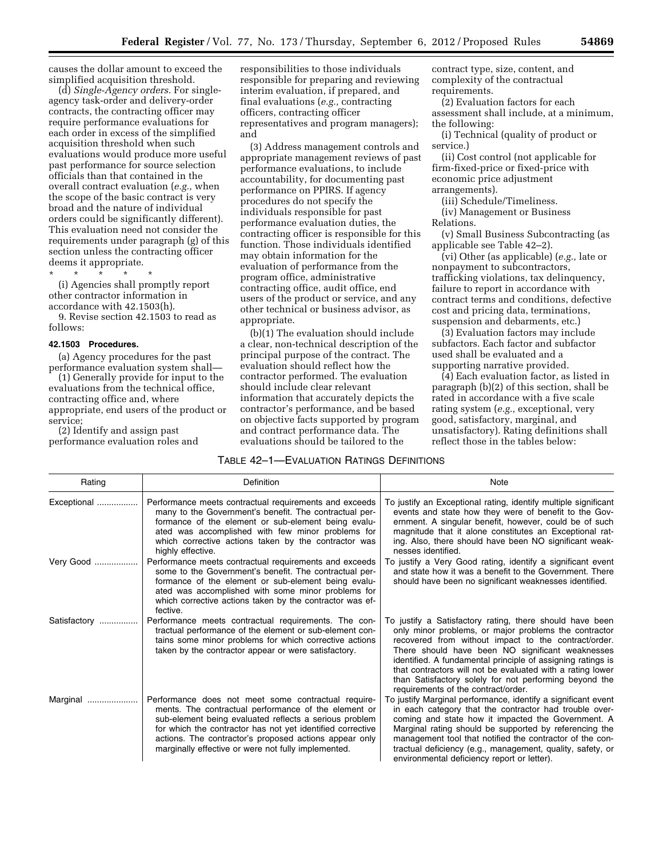causes the dollar amount to exceed the simplified acquisition threshold.

(d) *Single-Agency orders.* For singleagency task-order and delivery-order contracts, the contracting officer may require performance evaluations for each order in excess of the simplified acquisition threshold when such evaluations would produce more useful past performance for source selection officials than that contained in the overall contract evaluation (*e.g.,* when the scope of the basic contract is very broad and the nature of individual orders could be significantly different). This evaluation need not consider the requirements under paragraph (g) of this section unless the contracting officer deems it appropriate.

\* \* \* \* \*

(i) Agencies shall promptly report other contractor information in accordance with 42.1503(h).

9. Revise section 42.1503 to read as follows:

#### **42.1503 Procedures.**

(a) Agency procedures for the past performance evaluation system shall—

(1) Generally provide for input to the evaluations from the technical office, contracting office and, where appropriate, end users of the product or service;

(2) Identify and assign past performance evaluation roles and responsibilities to those individuals responsible for preparing and reviewing interim evaluation, if prepared, and final evaluations (*e.g.,* contracting officers, contracting officer representatives and program managers); and

(3) Address management controls and appropriate management reviews of past performance evaluations, to include accountability, for documenting past performance on PPIRS. If agency procedures do not specify the individuals responsible for past performance evaluation duties, the contracting officer is responsible for this function. Those individuals identified may obtain information for the evaluation of performance from the program office, administrative contracting office, audit office, end users of the product or service, and any other technical or business advisor, as appropriate.

(b)(1) The evaluation should include a clear, non-technical description of the principal purpose of the contract. The evaluation should reflect how the contractor performed. The evaluation should include clear relevant information that accurately depicts the contractor's performance, and be based on objective facts supported by program and contract performance data. The evaluations should be tailored to the

contract type, size, content, and complexity of the contractual requirements.

(2) Evaluation factors for each assessment shall include, at a minimum, the following:

(i) Technical (quality of product or service.)

(ii) Cost control (not applicable for firm-fixed-price or fixed-price with economic price adjustment arrangements).

(iii) Schedule/Timeliness.

(iv) Management or Business Relations.

(v) Small Business Subcontracting (as applicable see Table 42–2).

(vi) Other (as applicable) (*e.g.,* late or nonpayment to subcontractors, trafficking violations, tax delinquency, failure to report in accordance with contract terms and conditions, defective cost and pricing data, terminations, suspension and debarments, etc.)

(3) Evaluation factors may include subfactors. Each factor and subfactor used shall be evaluated and a supporting narrative provided.

(4) Each evaluation factor, as listed in paragraph (b)(2) of this section, shall be rated in accordance with a five scale rating system (*e.g.,* exceptional, very good, satisfactory, marginal, and unsatisfactory). Rating definitions shall reflect those in the tables below:

# TABLE 42–1—EVALUATION RATINGS DEFINITIONS

| Rating       | Definition                                                                                                                                                                                                                                                                                                                                           | <b>Note</b>                                                                                                                                                                                                                                                                                                                                                                                                                                                 |
|--------------|------------------------------------------------------------------------------------------------------------------------------------------------------------------------------------------------------------------------------------------------------------------------------------------------------------------------------------------------------|-------------------------------------------------------------------------------------------------------------------------------------------------------------------------------------------------------------------------------------------------------------------------------------------------------------------------------------------------------------------------------------------------------------------------------------------------------------|
| Exceptional  | Performance meets contractual requirements and exceeds<br>many to the Government's benefit. The contractual per-<br>formance of the element or sub-element being evalu-<br>ated was accomplished with few minor problems for<br>which corrective actions taken by the contractor was<br>highly effective.                                            | To justify an Exceptional rating, identify multiple significant<br>events and state how they were of benefit to the Gov-<br>ernment. A singular benefit, however, could be of such<br>magnitude that it alone constitutes an Exceptional rat-<br>ing. Also, there should have been NO significant weak-<br>nesses identified.                                                                                                                               |
| Very Good    | Performance meets contractual requirements and exceeds<br>some to the Government's benefit. The contractual per-<br>formance of the element or sub-element being evalu-<br>ated was accomplished with some minor problems for<br>which corrective actions taken by the contractor was ef-<br>fective.                                                | To justify a Very Good rating, identify a significant event<br>and state how it was a benefit to the Government. There<br>should have been no significant weaknesses identified.                                                                                                                                                                                                                                                                            |
| Satisfactory | Performance meets contractual requirements. The con-<br>tractual performance of the element or sub-element con-<br>tains some minor problems for which corrective actions<br>taken by the contractor appear or were satisfactory.                                                                                                                    | To justify a Satisfactory rating, there should have been<br>only minor problems, or major problems the contractor<br>recovered from without impact to the contract/order.<br>There should have been NO significant weaknesses<br>identified. A fundamental principle of assigning ratings is<br>that contractors will not be evaluated with a rating lower<br>than Satisfactory solely for not performing beyond the<br>requirements of the contract/order. |
| Marginal<br> | Performance does not meet some contractual require-<br>ments. The contractual performance of the element or<br>sub-element being evaluated reflects a serious problem<br>for which the contractor has not yet identified corrective<br>actions. The contractor's proposed actions appear only<br>marginally effective or were not fully implemented. | To justify Marginal performance, identify a significant event<br>in each category that the contractor had trouble over-<br>coming and state how it impacted the Government. A<br>Marginal rating should be supported by referencing the<br>management tool that notified the contractor of the con-<br>tractual deficiency (e.g., management, quality, safety, or<br>environmental deficiency report or letter).                                            |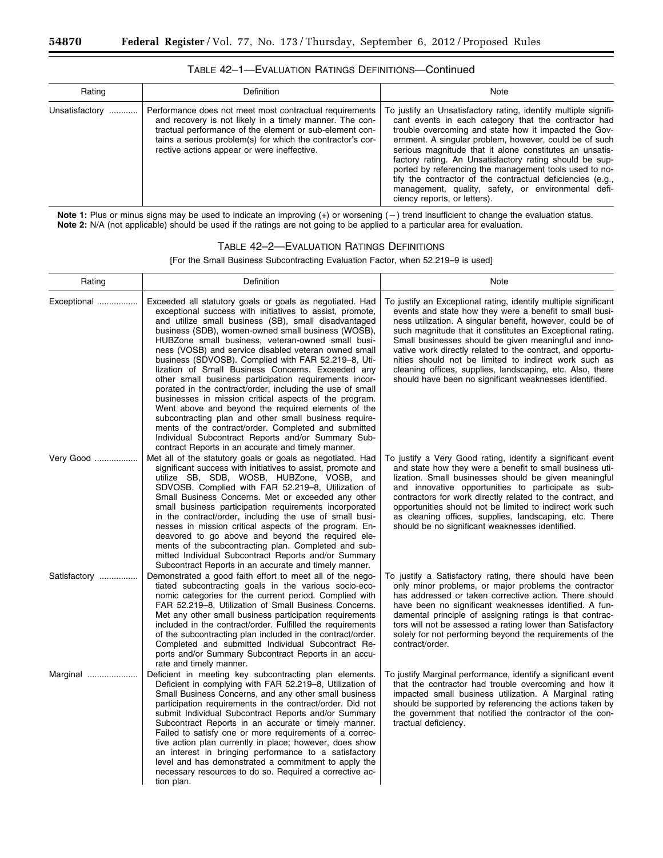| Rating         | Definition                                                                                                                                                                                                                                                                                 | Note                                                                                                                                                                                                                                                                                                                                                                                                                                                                                                                                                                            |
|----------------|--------------------------------------------------------------------------------------------------------------------------------------------------------------------------------------------------------------------------------------------------------------------------------------------|---------------------------------------------------------------------------------------------------------------------------------------------------------------------------------------------------------------------------------------------------------------------------------------------------------------------------------------------------------------------------------------------------------------------------------------------------------------------------------------------------------------------------------------------------------------------------------|
| Unsatisfactory | Performance does not meet most contractual requirements<br>and recovery is not likely in a timely manner. The con-<br>tractual performance of the element or sub-element con-<br>tains a serious problem(s) for which the contractor's cor-<br>rective actions appear or were ineffective. | To justify an Unsatisfactory rating, identify multiple signifi-<br>cant events in each category that the contractor had<br>trouble overcoming and state how it impacted the Gov-<br>ernment. A singular problem, however, could be of such<br>serious magnitude that it alone constitutes an unsatis-<br>factory rating. An Unsatisfactory rating should be sup-<br>ported by referencing the management tools used to no-<br>tify the contractor of the contractual deficiencies (e.g.,<br>management, quality, safety, or environmental defi-<br>ciency reports, or letters). |

TABLE 42–1—EVALUATION RATINGS DEFINITIONS—Continued

Note 1: Plus or minus signs may be used to indicate an improving (+) or worsening (-) trend insufficient to change the evaluation status. **Note 2:** N/A (not applicable) should be used if the ratings are not going to be applied to a particular area for evaluation.

# TABLE 42–2—EVALUATION RATINGS DEFINITIONS

[For the Small Business Subcontracting Evaluation Factor, when 52.219–9 is used]

| Rating       | Definition                                                                                                                                                                                                                                                                                                                                                                                                                                                                                                                                                                                                                                                                                                                                                                                                                                                                                                                      | Note                                                                                                                                                                                                                                                                                                                                                                                                                                                                                                                                                         |
|--------------|---------------------------------------------------------------------------------------------------------------------------------------------------------------------------------------------------------------------------------------------------------------------------------------------------------------------------------------------------------------------------------------------------------------------------------------------------------------------------------------------------------------------------------------------------------------------------------------------------------------------------------------------------------------------------------------------------------------------------------------------------------------------------------------------------------------------------------------------------------------------------------------------------------------------------------|--------------------------------------------------------------------------------------------------------------------------------------------------------------------------------------------------------------------------------------------------------------------------------------------------------------------------------------------------------------------------------------------------------------------------------------------------------------------------------------------------------------------------------------------------------------|
| Exceptional  | Exceeded all statutory goals or goals as negotiated. Had<br>exceptional success with initiatives to assist, promote,<br>and utilize small business (SB), small disadvantaged<br>business (SDB), women-owned small business (WOSB),<br>HUBZone small business, veteran-owned small busi-<br>ness (VOSB) and service disabled veteran owned small<br>business (SDVOSB). Complied with FAR 52.219-8, Uti-<br>lization of Small Business Concerns. Exceeded any<br>other small business participation requirements incor-<br>porated in the contract/order, including the use of small<br>businesses in mission critical aspects of the program.<br>Went above and beyond the required elements of the<br>subcontracting plan and other small business require-<br>ments of the contract/order. Completed and submitted<br>Individual Subcontract Reports and/or Summary Sub-<br>contract Reports in an accurate and timely manner. | To justify an Exceptional rating, identify multiple significant<br>events and state how they were a benefit to small busi-<br>ness utilization. A singular benefit, however, could be of<br>such magnitude that it constitutes an Exceptional rating.<br>Small businesses should be given meaningful and inno-<br>vative work directly related to the contract, and opportu-<br>nities should not be limited to indirect work such as<br>cleaning offices, supplies, landscaping, etc. Also, there<br>should have been no significant weaknesses identified. |
| Very Good    | Met all of the statutory goals or goals as negotiated. Had<br>significant success with initiatives to assist, promote and<br>utilize SB, SDB, WOSB, HUBZone, VOSB, and<br>SDVOSB. Complied with FAR 52.219-8, Utilization of<br>Small Business Concerns. Met or exceeded any other<br>small business participation requirements incorporated<br>in the contract/order, including the use of small busi-<br>nesses in mission critical aspects of the program. En-<br>deavored to go above and beyond the required ele-<br>ments of the subcontracting plan. Completed and sub-<br>mitted Individual Subcontract Reports and/or Summary<br>Subcontract Reports in an accurate and timely manner.                                                                                                                                                                                                                                 | To justify a Very Good rating, identify a significant event<br>and state how they were a benefit to small business uti-<br>lization. Small businesses should be given meaningful<br>and innovative opportunities to participate as sub-<br>contractors for work directly related to the contract, and<br>opportunities should not be limited to indirect work such<br>as cleaning offices, supplies, landscaping, etc. There<br>should be no significant weaknesses identified.                                                                              |
| Satisfactory | Demonstrated a good faith effort to meet all of the nego-<br>tiated subcontracting goals in the various socio-eco-<br>nomic categories for the current period. Complied with<br>FAR 52.219-8, Utilization of Small Business Concerns.<br>Met any other small business participation requirements<br>included in the contract/order. Fulfilled the requirements<br>of the subcontracting plan included in the contract/order.<br>Completed and submitted Individual Subcontract Re-<br>ports and/or Summary Subcontract Reports in an accu-<br>rate and timely manner.                                                                                                                                                                                                                                                                                                                                                           | To justify a Satisfactory rating, there should have been<br>only minor problems, or major problems the contractor<br>has addressed or taken corrective action. There should<br>have been no significant weaknesses identified. A fun-<br>damental principle of assigning ratings is that contrac-<br>tors will not be assessed a rating lower than Satisfactory<br>solely for not performing beyond the requirements of the<br>contract/order.                                                                                                               |
| Marginal     | Deficient in meeting key subcontracting plan elements.<br>Deficient in complying with FAR 52.219–8, Utilization of<br>Small Business Concerns, and any other small business<br>participation requirements in the contract/order. Did not<br>submit Individual Subcontract Reports and/or Summary<br>Subcontract Reports in an accurate or timely manner.<br>Failed to satisfy one or more requirements of a correc-<br>tive action plan currently in place; however, does show<br>an interest in bringing performance to a satisfactory<br>level and has demonstrated a commitment to apply the<br>necessary resources to do so. Required a corrective ac-<br>tion plan.                                                                                                                                                                                                                                                        | To justify Marginal performance, identify a significant event<br>that the contractor had trouble overcoming and how it<br>impacted small business utilization. A Marginal rating<br>should be supported by referencing the actions taken by<br>the government that notified the contractor of the con-<br>tractual deficiency.                                                                                                                                                                                                                               |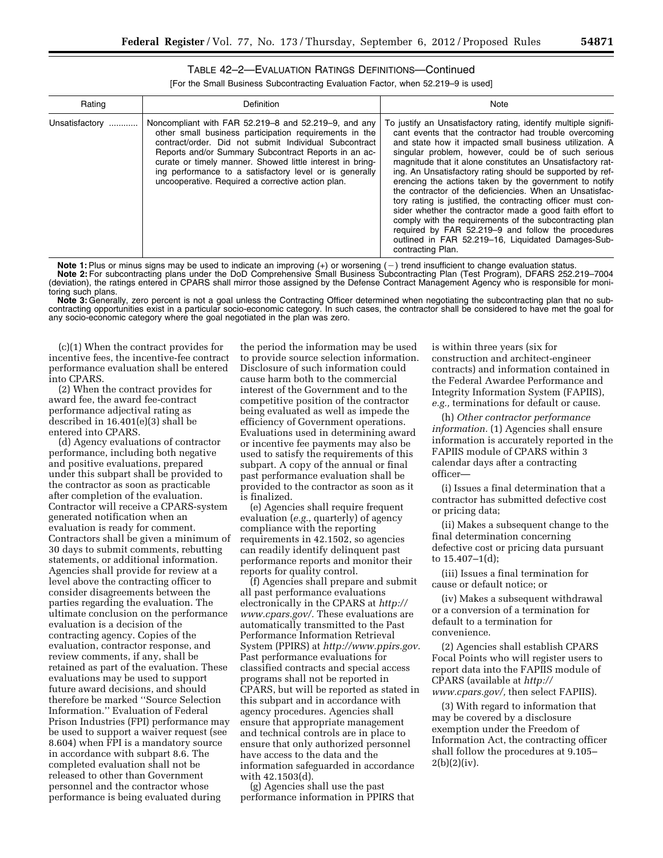# TABLE 42–2—EVALUATION RATINGS DEFINITIONS—Continued

[For the Small Business Subcontracting Evaluation Factor, when 52.219–9 is used]

| Rating             | Definition                                                                                                                                                                                                                                                                                                                                                                                                   | Note                                                                                                                                                                                                                                                                                                                                                                                                                                                                                                                                                                                                                                                                                                                                                                                                               |
|--------------------|--------------------------------------------------------------------------------------------------------------------------------------------------------------------------------------------------------------------------------------------------------------------------------------------------------------------------------------------------------------------------------------------------------------|--------------------------------------------------------------------------------------------------------------------------------------------------------------------------------------------------------------------------------------------------------------------------------------------------------------------------------------------------------------------------------------------------------------------------------------------------------------------------------------------------------------------------------------------------------------------------------------------------------------------------------------------------------------------------------------------------------------------------------------------------------------------------------------------------------------------|
| Unsatisfactory<br> | Noncompliant with FAR 52.219-8 and 52.219-9, and any<br>other small business participation requirements in the<br>contract/order. Did not submit Individual Subcontract<br>Reports and/or Summary Subcontract Reports in an ac-<br>curate or timely manner. Showed little interest in bring-<br>ing performance to a satisfactory level or is generally<br>uncooperative. Required a corrective action plan. | To justify an Unsatisfactory rating, identify multiple signifi-<br>cant events that the contractor had trouble overcoming<br>and state how it impacted small business utilization. A<br>singular problem, however, could be of such serious<br>magnitude that it alone constitutes an Unsatisfactory rat-<br>ing. An Unsatisfactory rating should be supported by ref-<br>erencing the actions taken by the government to notify<br>the contractor of the deficiencies. When an Unsatisfac-<br>tory rating is justified, the contracting officer must con-<br>sider whether the contractor made a good faith effort to<br>comply with the requirements of the subcontracting plan<br>required by FAR 52.219-9 and follow the procedures<br>outlined in FAR 52.219-16, Liquidated Damages-Sub-<br>contracting Plan. |

Note 1: Plus or minus signs may be used to indicate an improving (+) or worsening (-) trend insufficient to change evaluation status. **Note 2:** For subcontracting plans under the DoD Comprehensive Small Business Subcontracting Plan (Test Program), DFARS 252.219–7004 (deviation), the ratings entered in CPARS shall mirror those assigned by the Defense Contract Management Agency who is responsible for monitoring such plans.

**Note 3:** Generally, zero percent is not a goal unless the Contracting Officer determined when negotiating the subcontracting plan that no subcontracting opportunities exist in a particular socio-economic category. In such cases, the contractor shall be considered to have met the goal for any socio-economic category where the goal negotiated in the plan was zero.

(c)(1) When the contract provides for incentive fees, the incentive-fee contract performance evaluation shall be entered into CPARS.

(2) When the contract provides for award fee, the award fee-contract performance adjectival rating as described in 16.401(e)(3) shall be entered into CPARS.

(d) Agency evaluations of contractor performance, including both negative and positive evaluations, prepared under this subpart shall be provided to the contractor as soon as practicable after completion of the evaluation. Contractor will receive a CPARS-system generated notification when an evaluation is ready for comment. Contractors shall be given a minimum of 30 days to submit comments, rebutting statements, or additional information. Agencies shall provide for review at a level above the contracting officer to consider disagreements between the parties regarding the evaluation. The ultimate conclusion on the performance evaluation is a decision of the contracting agency. Copies of the evaluation, contractor response, and review comments, if any, shall be retained as part of the evaluation. These evaluations may be used to support future award decisions, and should therefore be marked ''Source Selection Information.'' Evaluation of Federal Prison Industries (FPI) performance may be used to support a waiver request (see 8.604) when FPI is a mandatory source in accordance with subpart 8.6. The completed evaluation shall not be released to other than Government personnel and the contractor whose performance is being evaluated during

the period the information may be used to provide source selection information. Disclosure of such information could cause harm both to the commercial interest of the Government and to the competitive position of the contractor being evaluated as well as impede the efficiency of Government operations. Evaluations used in determining award or incentive fee payments may also be used to satisfy the requirements of this subpart. A copy of the annual or final past performance evaluation shall be provided to the contractor as soon as it is finalized.

(e) Agencies shall require frequent evaluation (*e.g.,* quarterly) of agency compliance with the reporting requirements in 42.1502, so agencies can readily identify delinquent past performance reports and monitor their reports for quality control.

(f) Agencies shall prepare and submit all past performance evaluations electronically in the CPARS at *[http://](http://www.cpars.gov/) [www.cpars.gov/.](http://www.cpars.gov/)* These evaluations are automatically transmitted to the Past Performance Information Retrieval System (PPIRS) at *[http://www.ppirs.gov.](http://www.ppirs.gov)*  Past performance evaluations for classified contracts and special access programs shall not be reported in CPARS, but will be reported as stated in this subpart and in accordance with agency procedures. Agencies shall ensure that appropriate management and technical controls are in place to ensure that only authorized personnel have access to the data and the information safeguarded in accordance with 42.1503(d).

(g) Agencies shall use the past performance information in PPIRS that

is within three years (six for construction and architect-engineer contracts) and information contained in the Federal Awardee Performance and Integrity Information System (FAPIIS), *e.g.,* terminations for default or cause.

(h) *Other contractor performance information.* (1) Agencies shall ensure information is accurately reported in the FAPIIS module of CPARS within 3 calendar days after a contracting officer—

(i) Issues a final determination that a contractor has submitted defective cost or pricing data;

(ii) Makes a subsequent change to the final determination concerning defective cost or pricing data pursuant to 15.407–1(d);

(iii) Issues a final termination for cause or default notice; or

(iv) Makes a subsequent withdrawal or a conversion of a termination for default to a termination for convenience.

(2) Agencies shall establish CPARS Focal Points who will register users to report data into the FAPIIS module of CPARS (available at *[http://](http://www.cpars.gov/) [www.cpars.gov/,](http://www.cpars.gov/)* then select FAPIIS).

(3) With regard to information that may be covered by a disclosure exemption under the Freedom of Information Act, the contracting officer shall follow the procedures at 9.105–  $2(b)(2)(iv).$